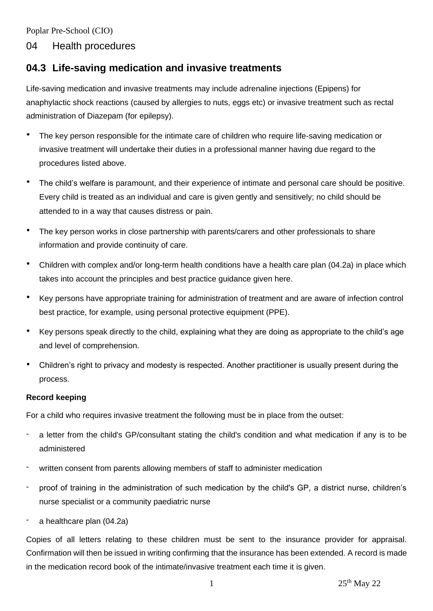Poplar Pre-School (CIO)

## 04 Health procedures

# **04.3 Life-saving medication and invasive treatments**

Life-saving medication and invasive treatments may include adrenaline injections (Epipens) for anaphylactic shock reactions (caused by allergies to nuts, eggs etc) or invasive treatment such as rectal administration of Diazepam (for epilepsy).

- The key person responsible for the intimate care of children who require life-saving medication or invasive treatment will undertake their duties in a professional manner having due regard to the procedures listed above.
- The child's welfare is paramount, and their experience of intimate and personal care should be positive. Every child is treated as an individual and care is given gently and sensitively; no child should be attended to in a way that causes distress or pain.
- The key person works in close partnership with parents/carers and other professionals to share information and provide continuity of care.
- Children with complex and/or long-term health conditions have a health care plan (04.2a) in place which takes into account the principles and best practice guidance given here.
- Key persons have appropriate training for administration of treatment and are aware of infection control best practice, for example, using personal protective equipment (PPE).
- Key persons speak directly to the child, explaining what they are doing as appropriate to the child's age and level of comprehension.
- Children's right to privacy and modesty is respected. Another practitioner is usually present during the process.

### **Record keeping**

For a child who requires invasive treatment the following must be in place from the outset:

- a letter from the child's GP/consultant stating the child's condition and what medication if any is to be administered
- written consent from parents allowing members of staff to administer medication
- proof of training in the administration of such medication by the child's GP, a district nurse, children's nurse specialist or a community paediatric nurse
- a healthcare plan (04.2a)

Copies of all letters relating to these children must be sent to the insurance provider for appraisal. Confirmation will then be issued in writing confirming that the insurance has been extended. A record is made in the medication record book of the intimate/invasive treatment each time it is given.